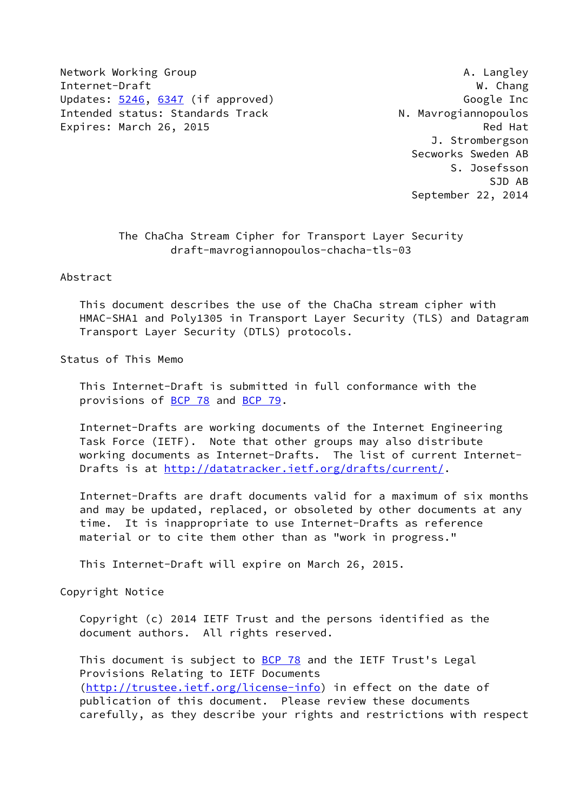Network Working Group **A. Langley** Internet-Draft W. Chang Updates: [5246](https://datatracker.ietf.org/doc/pdf/rfc5246), [6347](https://datatracker.ietf.org/doc/pdf/rfc6347) (if approved) Coogle Inc Intended status: Standards Track N. Mavrogiannopoulos Expires: March 26, 2015 Red Hat

 J. Strombergson Secworks Sweden AB S. Josefsson SJD AB September 22, 2014

# The ChaCha Stream Cipher for Transport Layer Security draft-mavrogiannopoulos-chacha-tls-03

# Abstract

 This document describes the use of the ChaCha stream cipher with HMAC-SHA1 and Poly1305 in Transport Layer Security (TLS) and Datagram Transport Layer Security (DTLS) protocols.

## Status of This Memo

 This Internet-Draft is submitted in full conformance with the provisions of [BCP 78](https://datatracker.ietf.org/doc/pdf/bcp78) and [BCP 79](https://datatracker.ietf.org/doc/pdf/bcp79).

 Internet-Drafts are working documents of the Internet Engineering Task Force (IETF). Note that other groups may also distribute working documents as Internet-Drafts. The list of current Internet- Drafts is at<http://datatracker.ietf.org/drafts/current/>.

 Internet-Drafts are draft documents valid for a maximum of six months and may be updated, replaced, or obsoleted by other documents at any time. It is inappropriate to use Internet-Drafts as reference material or to cite them other than as "work in progress."

This Internet-Draft will expire on March 26, 2015.

Copyright Notice

 Copyright (c) 2014 IETF Trust and the persons identified as the document authors. All rights reserved.

This document is subject to **[BCP 78](https://datatracker.ietf.org/doc/pdf/bcp78)** and the IETF Trust's Legal Provisions Relating to IETF Documents [\(http://trustee.ietf.org/license-info](http://trustee.ietf.org/license-info)) in effect on the date of publication of this document. Please review these documents carefully, as they describe your rights and restrictions with respect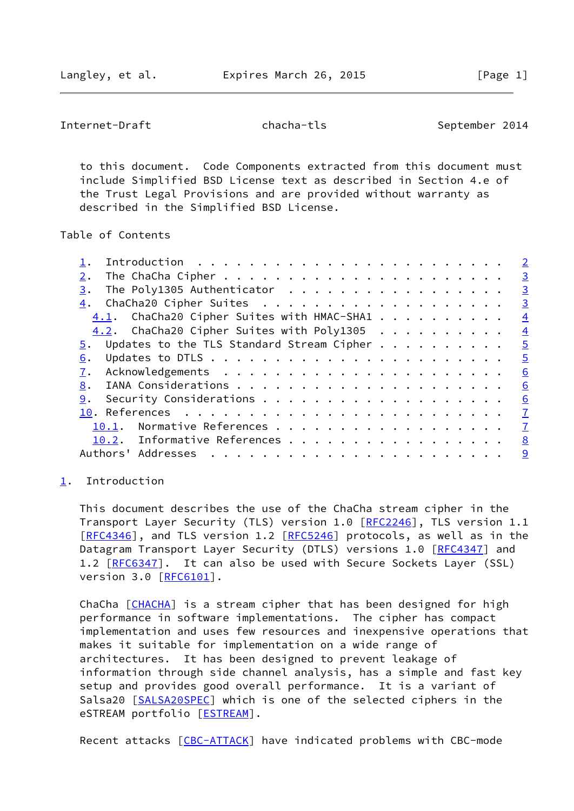<span id="page-1-1"></span>Internet-Draft chacha-tls September 2014

 to this document. Code Components extracted from this document must include Simplified BSD License text as described in Section 4.e of the Trust Legal Provisions and are provided without warranty as described in the Simplified BSD License.

Table of Contents

|                                                            | $\overline{2}$           |
|------------------------------------------------------------|--------------------------|
|                                                            | $\overline{\mathbf{3}}$  |
| The Poly1305 Authenticator<br>3.                           | $\overline{3}$           |
|                                                            | $\overline{3}$           |
| $4.1$ . ChaCha20 Cipher Suites with HMAC-SHA1              | $\overline{4}$           |
| 4.2. ChaCha20 Cipher Suites with Poly1305                  | $\frac{4}{1}$            |
| $\overline{5}$ . Updates to the TLS Standard Stream Cipher | $\frac{5}{2}$            |
| 6.                                                         | $\overline{\phantom{0}}$ |
|                                                            | 6                        |
| 8.                                                         | 6                        |
| 9.                                                         | 6                        |
|                                                            | $\overline{1}$           |
| Normative References<br>10.1.                              | $\overline{1}$           |
| 10.2. Informative References 8                             |                          |
| Authors' Addresses                                         | <u>g</u>                 |
|                                                            |                          |

#### <span id="page-1-0"></span>[1](#page-1-0). Introduction

 This document describes the use of the ChaCha stream cipher in the Transport Layer Security (TLS) version 1.0 [[RFC2246\]](https://datatracker.ietf.org/doc/pdf/rfc2246), TLS version 1.1 [\[RFC4346](https://datatracker.ietf.org/doc/pdf/rfc4346)], and TLS version 1.2 [\[RFC5246](https://datatracker.ietf.org/doc/pdf/rfc5246)] protocols, as well as in the Datagram Transport Layer Security (DTLS) versions 1.0 [[RFC4347](https://datatracker.ietf.org/doc/pdf/rfc4347)] and 1.2 [\[RFC6347](https://datatracker.ietf.org/doc/pdf/rfc6347)]. It can also be used with Secure Sockets Layer (SSL) version 3.0 [\[RFC6101](https://datatracker.ietf.org/doc/pdf/rfc6101)].

ChaCha [\[CHACHA](#page-8-0)] is a stream cipher that has been designed for high performance in software implementations. The cipher has compact implementation and uses few resources and inexpensive operations that makes it suitable for implementation on a wide range of architectures. It has been designed to prevent leakage of information through side channel analysis, has a simple and fast key setup and provides good overall performance. It is a variant of Salsa20 [\[SALSA20SPEC](#page-8-1)] which is one of the selected ciphers in the eSTREAM portfolio [[ESTREAM](#page-8-2)].

Recent attacks [\[CBC-ATTACK](#page-8-3)] have indicated problems with CBC-mode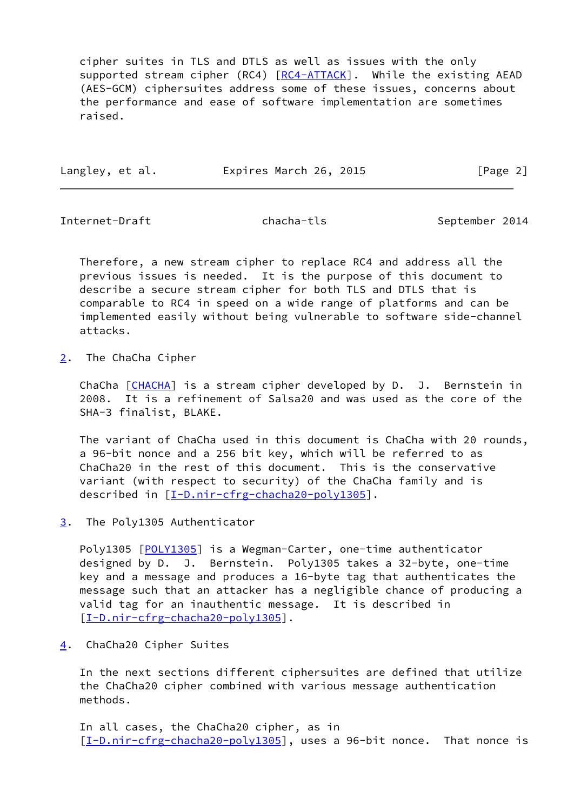cipher suites in TLS and DTLS as well as issues with the only supported stream cipher (RC4) [[RC4-ATTACK\]](#page-8-4). While the existing AEAD (AES-GCM) ciphersuites address some of these issues, concerns about the performance and ease of software implementation are sometimes raised.

| Langley, et al. | Expires March 26, 2015 | [Page 2] |
|-----------------|------------------------|----------|
|                 |                        |          |

<span id="page-2-1"></span>Internet-Draft chacha-tls September 2014

 Therefore, a new stream cipher to replace RC4 and address all the previous issues is needed. It is the purpose of this document to describe a secure stream cipher for both TLS and DTLS that is comparable to RC4 in speed on a wide range of platforms and can be implemented easily without being vulnerable to software side-channel attacks.

<span id="page-2-0"></span>[2](#page-2-0). The ChaCha Cipher

ChaCha [\[CHACHA](#page-8-0)] is a stream cipher developed by D. J. Bernstein in 2008. It is a refinement of Salsa20 and was used as the core of the SHA-3 finalist, BLAKE.

 The variant of ChaCha used in this document is ChaCha with 20 rounds, a 96-bit nonce and a 256 bit key, which will be referred to as ChaCha20 in the rest of this document. This is the conservative variant (with respect to security) of the ChaCha family and is described in [\[I-D.nir-cfrg-chacha20-poly1305](#page-7-4)].

<span id="page-2-2"></span>[3](#page-2-2). The Poly1305 Authenticator

Poly1305 [\[POLY1305](#page-8-5)] is a Wegman-Carter, one-time authenticator designed by D. J. Bernstein. Poly1305 takes a 32-byte, one-time key and a message and produces a 16-byte tag that authenticates the message such that an attacker has a negligible chance of producing a valid tag for an inauthentic message. It is described in [\[I-D.nir-cfrg-chacha20-poly1305](#page-7-4)].

<span id="page-2-3"></span>[4](#page-2-3). ChaCha20 Cipher Suites

 In the next sections different ciphersuites are defined that utilize the ChaCha20 cipher combined with various message authentication methods.

 In all cases, the ChaCha20 cipher, as in [\[I-D.nir-cfrg-chacha20-poly1305](#page-7-4)], uses a 96-bit nonce. That nonce is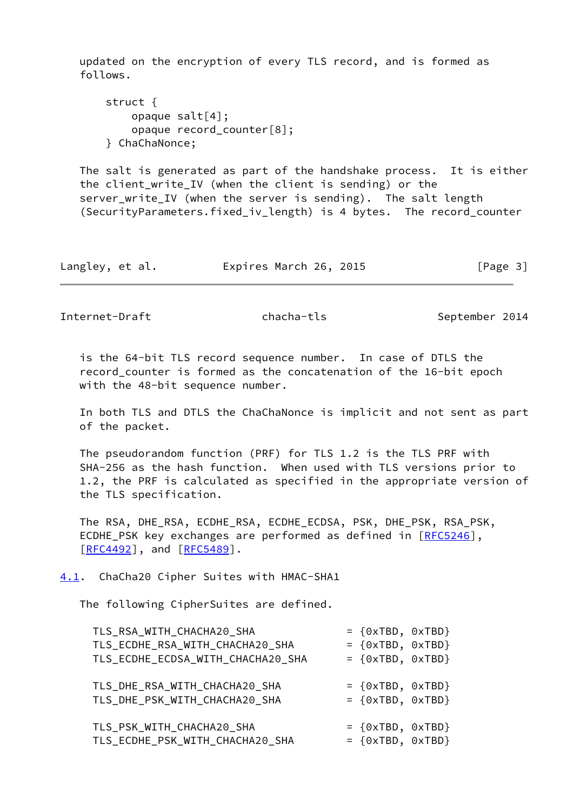updated on the encryption of every TLS record, and is formed as follows.

 struct { opaque salt[4]; opaque record\_counter[8]; } ChaChaNonce;

 The salt is generated as part of the handshake process. It is either the client\_write\_IV (when the client is sending) or the server\_write\_IV (when the server is sending). The salt length (SecurityParameters.fixed\_iv\_length) is 4 bytes. The record\_counter

Langley, et al. **Expires March 26, 2015** [Page 3]

<span id="page-3-1"></span>Internet-Draft chacha-tls chacha-tls September 2014

 is the 64-bit TLS record sequence number. In case of DTLS the record\_counter is formed as the concatenation of the 16-bit epoch with the 48-bit sequence number.

 In both TLS and DTLS the ChaChaNonce is implicit and not sent as part of the packet.

 The pseudorandom function (PRF) for TLS 1.2 is the TLS PRF with SHA-256 as the hash function. When used with TLS versions prior to 1.2, the PRF is calculated as specified in the appropriate version of the TLS specification.

 The RSA, DHE\_RSA, ECDHE\_RSA, ECDHE\_ECDSA, PSK, DHE\_PSK, RSA\_PSK, ECDHE\_PSK key exchanges are performed as defined in [\[RFC5246](https://datatracker.ietf.org/doc/pdf/rfc5246)], [\[RFC4492](https://datatracker.ietf.org/doc/pdf/rfc4492)], and [\[RFC5489](https://datatracker.ietf.org/doc/pdf/rfc5489)].

<span id="page-3-0"></span>[4.1](#page-3-0). ChaCha20 Cipher Suites with HMAC-SHA1

The following CipherSuites are defined.

| TLS_RSA_WITH_CHACHA20_SHA         | $= \{0xTBD, 0xTBD\}$ |  |
|-----------------------------------|----------------------|--|
| TLS_ECDHE_RSA_WITH_CHACHA20_SHA   | $= \{0xTBD, 0xTBD\}$ |  |
| TLS_ECDHE_ECDSA_WITH_CHACHA20_SHA | $= \{0xTBD, 0xTBD\}$ |  |
| TLS_DHE_RSA_WITH_CHACHA20_SHA     | $= \{0xTBD, 0xTBD\}$ |  |
| TLS_DHE_PSK_WITH_CHACHA20_SHA     | $= \{0xTBD, 0xTBD\}$ |  |
| TLS_PSK_WITH_CHACHA20_SHA         | $= \{0xTBD, 0xTBD\}$ |  |
| TLS_ECDHE_PSK_WITH_CHACHA20_SHA   | $= \{0xTBD, 0xTBD\}$ |  |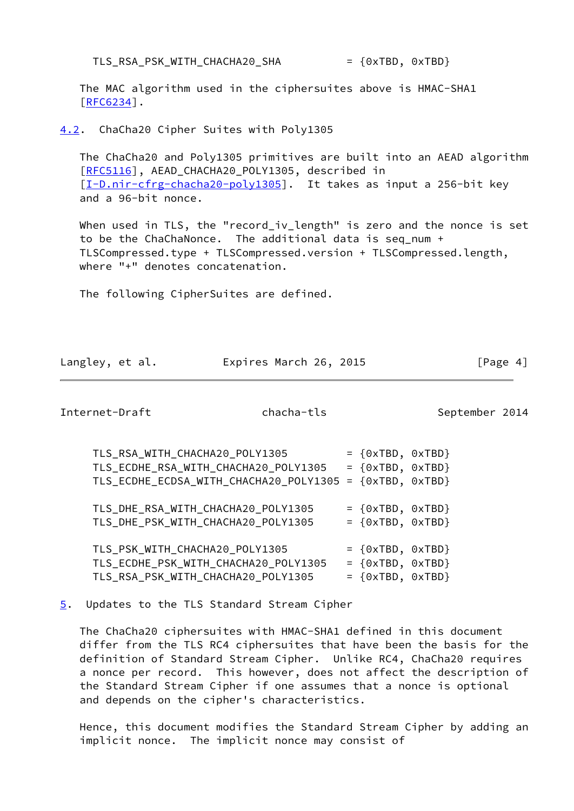The MAC algorithm used in the ciphersuites above is HMAC-SHA1 [\[RFC6234](https://datatracker.ietf.org/doc/pdf/rfc6234)].

### <span id="page-4-0"></span>[4.2](#page-4-0). ChaCha20 Cipher Suites with Poly1305

 The ChaCha20 and Poly1305 primitives are built into an AEAD algorithm [\[RFC5116](https://datatracker.ietf.org/doc/pdf/rfc5116)], AEAD\_CHACHA20\_POLY1305, described in [\[I-D.nir-cfrg-chacha20-poly1305](#page-7-4)]. It takes as input a 256-bit key and a 96-bit nonce.

 When used in TLS, the "record\_iv\_length" is zero and the nonce is set to be the ChaChaNonce. The additional data is seq num + TLSCompressed.type + TLSCompressed.version + TLSCompressed.length, where "+" denotes concatenation.

The following CipherSuites are defined.

| Langley, et al. | Expires March 26, 2015 | [Page 4] |
|-----------------|------------------------|----------|

<span id="page-4-2"></span>Internet-Draft chacha-tls September 2014

| TLS RSA WITH CHACHA20 POLY1305                          | $= \{0 \times TBD, 0 \times TBD\}$ |  |
|---------------------------------------------------------|------------------------------------|--|
| TLS_ECDHE_RSA_WITH_CHACHA20_POLY1305                    | $= \{0 \times TBD, 0 \times TBD\}$ |  |
| TLS_ECDHE_ECDSA_WITH_CHACHA20_POLY1305 = {0xTBD, 0xTBD} |                                    |  |
| TLS_DHE_RSA_WITH_CHACHA20_POLY1305                      | $= \{0xTBD, 0xTBD\}$               |  |
| TLS_DHE_PSK_WITH_CHACHA20_POLY1305                      | $= \{0 \times TBD, 0 \times TBD\}$ |  |
|                                                         |                                    |  |
| TLS_PSK_WITH_CHACHA20_POLY1305                          | $= \{0 \times TBD, 0 \times TBD\}$ |  |
| TLS_ECDHE_PSK_WITH_CHACHA20_POLY1305                    | $= \{0 \times TBD, 0 \times TBD\}$ |  |
| TLS_RSA_PSK_WITH_CHACHA20_POLY1305                      | $= \{0xTBD, 0xTBD\}$               |  |

<span id="page-4-1"></span>[5](#page-4-1). Updates to the TLS Standard Stream Cipher

 The ChaCha20 ciphersuites with HMAC-SHA1 defined in this document differ from the TLS RC4 ciphersuites that have been the basis for the definition of Standard Stream Cipher. Unlike RC4, ChaCha20 requires a nonce per record. This however, does not affect the description of the Standard Stream Cipher if one assumes that a nonce is optional and depends on the cipher's characteristics.

 Hence, this document modifies the Standard Stream Cipher by adding an implicit nonce. The implicit nonce may consist of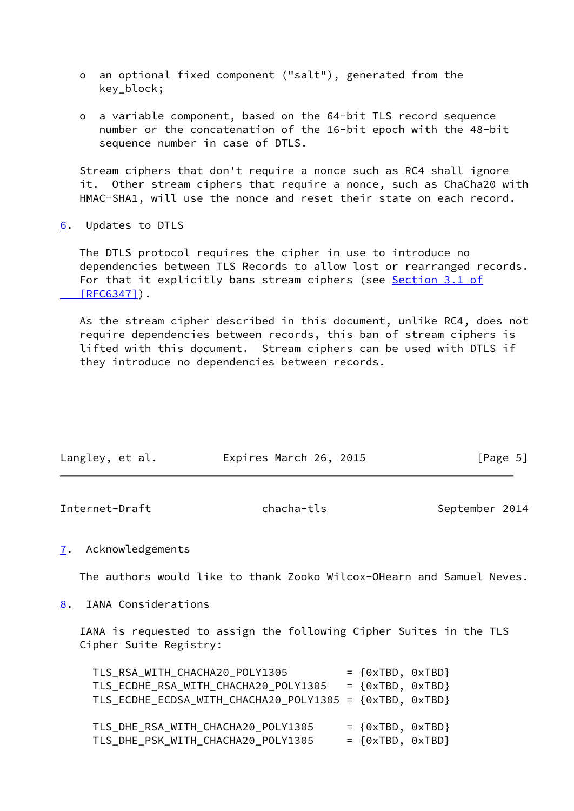- o an optional fixed component ("salt"), generated from the key\_block;
- o a variable component, based on the 64-bit TLS record sequence number or the concatenation of the 16-bit epoch with the 48-bit sequence number in case of DTLS.

 Stream ciphers that don't require a nonce such as RC4 shall ignore it. Other stream ciphers that require a nonce, such as ChaCha20 with HMAC-SHA1, will use the nonce and reset their state on each record.

<span id="page-5-0"></span>[6](#page-5-0). Updates to DTLS

 The DTLS protocol requires the cipher in use to introduce no dependencies between TLS Records to allow lost or rearranged records. For that it explicitly bans stream ciphers (see [Section](https://datatracker.ietf.org/doc/pdf/rfc6347#section-3.1) 3.1 of  $[RFC6347]$ .

 As the stream cipher described in this document, unlike RC4, does not require dependencies between records, this ban of stream ciphers is lifted with this document. Stream ciphers can be used with DTLS if they introduce no dependencies between records.

| Langley, et al. | Expires March 26, 2015 | [Page 5] |
|-----------------|------------------------|----------|
|                 |                        |          |

<span id="page-5-2"></span>Internet-Draft chacha-tls chacha-tls September 2014

# <span id="page-5-1"></span>[7](#page-5-1). Acknowledgements

The authors would like to thank Zooko Wilcox-OHearn and Samuel Neves.

<span id="page-5-3"></span>[8](#page-5-3). IANA Considerations

 IANA is requested to assign the following Cipher Suites in the TLS Cipher Suite Registry:

| TLS_RSA_WITH_CHACHA20_POLY1305                          | $= \{0xTBD, 0xTBD\}$ |  |
|---------------------------------------------------------|----------------------|--|
| TLS_ECDHE_RSA_WITH_CHACHA20_POLY1305                    | $= \{0xTBD, 0xTBD\}$ |  |
| TLS_ECDHE_ECDSA_WITH_CHACHA20_POLY1305 = {0xTBD, 0xTBD} |                      |  |
|                                                         |                      |  |
| TLS_DHE_RSA_WITH_CHACHA20_POLY1305                      | $= \{0xTBD, 0xTBD\}$ |  |
| TLS DHE PSK WITH CHACHA20 POLY1305                      | $= \{0xTBD, 0xTBD\}$ |  |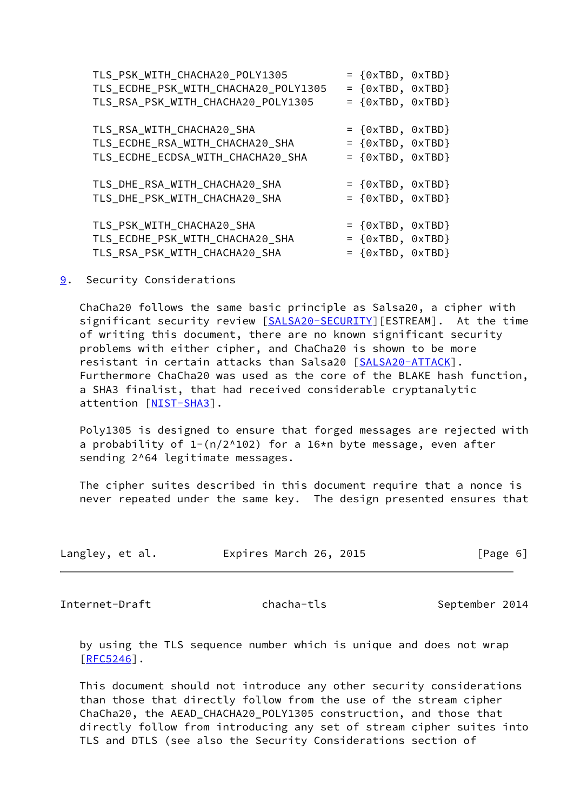| TLS PSK WITH CHACHA20 POLY1305       | $= \{0xTBD, 0xTBD\}$               |
|--------------------------------------|------------------------------------|
| TLS_ECDHE_PSK_WITH_CHACHA20_POLY1305 | $= \{0xTBD, 0xTBD\}$               |
| TLS_RSA_PSK_WITH_CHACHA20_POLY1305   | $= \{0xTBD, 0xTBD\}$               |
| TLS RSA WITH CHACHA20 SHA            | $= \{0xTBD, 0xTBD\}$               |
| TLS_ECDHE_RSA_WITH_CHACHA20_SHA      | $= \{0 \times TBD, 0 \times TBD\}$ |
| TLS_ECDHE_ECDSA_WITH_CHACHA20_SHA    | $= \{0 \times TBD, 0 \times TBD\}$ |
| TLS_DHE_RSA_WITH_CHACHA20_SHA        | $= \{0xTBD, 0xTBD\}$               |
| TLS DHE PSK WITH CHACHA20 SHA        | $= \{0xTBD, 0xTBD\}$               |
| TLS_PSK_WITH_CHACHA20_SHA            | $= \{0xTBD, 0xTBD\}$               |
| TLS_ECDHE_PSK_WITH_CHACHA20_SHA      | $= \{0xTBD, 0xTBD\}$               |
| TLS_RSA_PSK_WITH_CHACHA20_SHA        | $= \{0xTBD, 0xTBD\}$               |

<span id="page-6-0"></span>[9](#page-6-0). Security Considerations

 ChaCha20 follows the same basic principle as Salsa20, a cipher with significant security review [\[SALSA20-SECURITY](#page-8-6)][ESTREAM]. At the time of writing this document, there are no known significant security problems with either cipher, and ChaCha20 is shown to be more resistant in certain attacks than Salsa20 [[SALSA20-ATTACK](#page-8-7)]. Furthermore ChaCha20 was used as the core of the BLAKE hash function, a SHA3 finalist, that had received considerable cryptanalytic attention [[NIST-SHA3\]](#page-9-1).

 Poly1305 is designed to ensure that forged messages are rejected with a probability of  $1-(n/2^0102)$  for a 16\*n byte message, even after sending 2^64 legitimate messages.

 The cipher suites described in this document require that a nonce is never repeated under the same key. The design presented ensures that

| Langley, et al. | Expires March 26, 2015 | [Page 6] |
|-----------------|------------------------|----------|
|-----------------|------------------------|----------|

<span id="page-6-1"></span>Internet-Draft chacha-tls September 2014

 by using the TLS sequence number which is unique and does not wrap [\[RFC5246](https://datatracker.ietf.org/doc/pdf/rfc5246)].

 This document should not introduce any other security considerations than those that directly follow from the use of the stream cipher ChaCha20, the AEAD\_CHACHA20\_POLY1305 construction, and those that directly follow from introducing any set of stream cipher suites into TLS and DTLS (see also the Security Considerations section of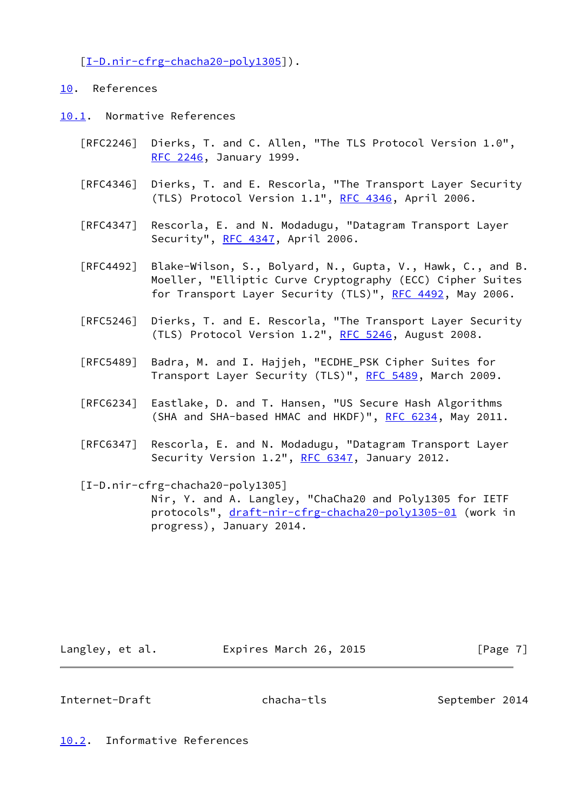[\[I-D.nir-cfrg-chacha20-poly1305](#page-7-4)]).

- <span id="page-7-0"></span>[10.](#page-7-0) References
- <span id="page-7-1"></span>[10.1](#page-7-1). Normative References
	- [RFC2246] Dierks, T. and C. Allen, "The TLS Protocol Version 1.0", [RFC 2246,](https://datatracker.ietf.org/doc/pdf/rfc2246) January 1999.
	- [RFC4346] Dierks, T. and E. Rescorla, "The Transport Layer Security (TLS) Protocol Version 1.1", [RFC 4346](https://datatracker.ietf.org/doc/pdf/rfc4346), April 2006.
	- [RFC4347] Rescorla, E. and N. Modadugu, "Datagram Transport Layer Security", [RFC 4347](https://datatracker.ietf.org/doc/pdf/rfc4347), April 2006.
	- [RFC4492] Blake-Wilson, S., Bolyard, N., Gupta, V., Hawk, C., and B. Moeller, "Elliptic Curve Cryptography (ECC) Cipher Suites for Transport Layer Security (TLS)", [RFC 4492](https://datatracker.ietf.org/doc/pdf/rfc4492), May 2006.
	- [RFC5246] Dierks, T. and E. Rescorla, "The Transport Layer Security (TLS) Protocol Version 1.2", [RFC 5246](https://datatracker.ietf.org/doc/pdf/rfc5246), August 2008.
	- [RFC5489] Badra, M. and I. Hajjeh, "ECDHE\_PSK Cipher Suites for Transport Layer Security (TLS)", [RFC 5489,](https://datatracker.ietf.org/doc/pdf/rfc5489) March 2009.
	- [RFC6234] Eastlake, D. and T. Hansen, "US Secure Hash Algorithms (SHA and SHA-based HMAC and HKDF)", [RFC 6234,](https://datatracker.ietf.org/doc/pdf/rfc6234) May 2011.
	- [RFC6347] Rescorla, E. and N. Modadugu, "Datagram Transport Layer Security Version 1.2", [RFC 6347](https://datatracker.ietf.org/doc/pdf/rfc6347), January 2012.
	- [I-D.nir-cfrg-chacha20-poly1305] Nir, Y. and A. Langley, "ChaCha20 and Poly1305 for IETF protocols", [draft-nir-cfrg-chacha20-poly1305-01](https://datatracker.ietf.org/doc/pdf/draft-nir-cfrg-chacha20-poly1305-01) (work in progress), January 2014.

<span id="page-7-4"></span>Langley, et al. Expires March 26, 2015 [Page 7]

<span id="page-7-3"></span>Internet-Draft chacha-tls September 2014

<span id="page-7-2"></span>[10.2](#page-7-2). Informative References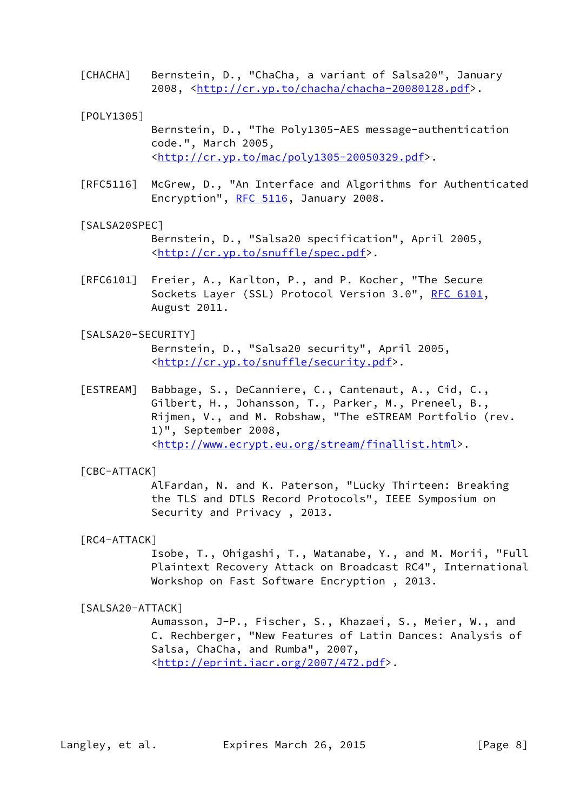- <span id="page-8-0"></span> [CHACHA] Bernstein, D., "ChaCha, a variant of Salsa20", January 2008, [<http://cr.yp.to/chacha/chacha-20080128.pdf>](http://cr.yp.to/chacha/chacha-20080128.pdf).
- <span id="page-8-5"></span> [POLY1305]
	- Bernstein, D., "The Poly1305-AES message-authentication code.", March 2005, <[http://cr.yp.to/mac/poly1305-20050329.pdf>](http://cr.yp.to/mac/poly1305-20050329.pdf).
- [RFC5116] McGrew, D., "An Interface and Algorithms for Authenticated Encryption", [RFC 5116](https://datatracker.ietf.org/doc/pdf/rfc5116), January 2008.

#### <span id="page-8-1"></span>[SALSA20SPEC]

 Bernstein, D., "Salsa20 specification", April 2005, <[http://cr.yp.to/snuffle/spec.pdf>](http://cr.yp.to/snuffle/spec.pdf).

 [RFC6101] Freier, A., Karlton, P., and P. Kocher, "The Secure Sockets Layer (SSL) Protocol Version 3.0", [RFC 6101](https://datatracker.ietf.org/doc/pdf/rfc6101), August 2011.

#### <span id="page-8-6"></span>[SALSA20-SECURITY]

 Bernstein, D., "Salsa20 security", April 2005, <[http://cr.yp.to/snuffle/security.pdf>](http://cr.yp.to/snuffle/security.pdf).

- <span id="page-8-2"></span> [ESTREAM] Babbage, S., DeCanniere, C., Cantenaut, A., Cid, C., Gilbert, H., Johansson, T., Parker, M., Preneel, B., Rijmen, V., and M. Robshaw, "The eSTREAM Portfolio (rev. 1)", September 2008, <<http://www.ecrypt.eu.org/stream/finallist.html>>.
- <span id="page-8-3"></span>[CBC-ATTACK]

 AlFardan, N. and K. Paterson, "Lucky Thirteen: Breaking the TLS and DTLS Record Protocols", IEEE Symposium on Security and Privacy , 2013.

#### <span id="page-8-4"></span>[RC4-ATTACK]

 Isobe, T., Ohigashi, T., Watanabe, Y., and M. Morii, "Full Plaintext Recovery Attack on Broadcast RC4", International Workshop on Fast Software Encryption , 2013.

## <span id="page-8-7"></span>[SALSA20-ATTACK]

 Aumasson, J-P., Fischer, S., Khazaei, S., Meier, W., and C. Rechberger, "New Features of Latin Dances: Analysis of Salsa, ChaCha, and Rumba", 2007, <[http://eprint.iacr.org/2007/472.pdf>](http://eprint.iacr.org/2007/472.pdf).